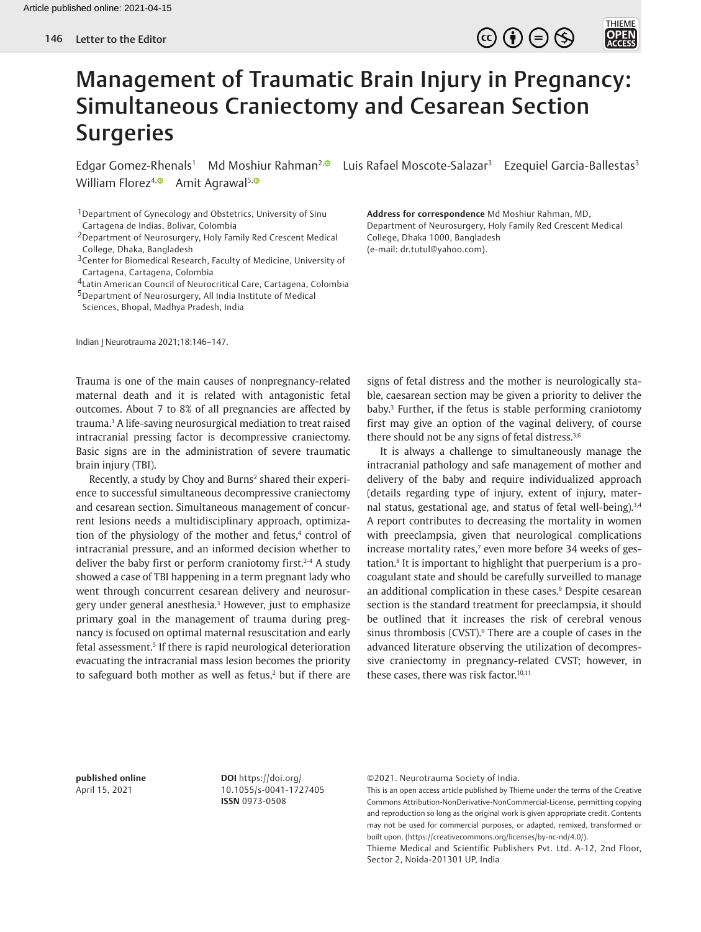

## Management of Traumatic Brain Injury in Pregnancy: Simultaneous Craniectomy and Cesarean Section **Surgeries**

Edgar Gomez-Rhenals<sup>1</sup> Md Moshiur Rahman<sup>2, [9</sup>] Luis Rafael Moscote-Salazar<sup>3</sup> Ezequiel Garcia-Ballestas<sup>3</sup> William Florez<sup>4, **Amit Agrawal**<sup>5, 0</sup></sup>

<sup>1</sup> Department of Gynecology and Obstetrics, University of Sinu Cartagena de Indias, Bolivar, Colombia

- <sup>3</sup>Center for Biomedical Research, Faculty of Medicine, University of Cartagena, Cartagena, Colombia
- 4Latin American Council of Neurocritical Care, Cartagena, Colombia

5Department of Neurosurgery, All India Institute of Medical

Sciences, Bhopal, Madhya Pradesh, India

Indian J Neurotrauma 2021;18:146–147.

Trauma is one of the main causes of nonpregnancy-related maternal death and it is related with antagonistic fetal outcomes. About 7 to 8% of all pregnancies are affected by trauma.1 A life-saving neurosurgical mediation to treat raised intracranial pressing factor is decompressive craniectomy. Basic signs are in the administration of severe traumatic brain injury (TBI).

Recently, a study by Choy and Burns<sup>2</sup> shared their experience to successful simultaneous decompressive craniectomy and cesarean section. Simultaneous management of concurrent lesions needs a multidisciplinary approach, optimization of the physiology of the mother and fetus,<sup>4</sup> control of intracranial pressure, and an informed decision whether to deliver the baby first or perform craniotomy first.<sup>2-4</sup> A study showed a case of TBI happening in a term pregnant lady who went through concurrent cesarean delivery and neurosurgery under general anesthesia.3 However, just to emphasize primary goal in the management of trauma during pregnancy is focused on optimal maternal resuscitation and early fetal assessment.5 If there is rapid neurological deterioration evacuating the intracranial mass lesion becomes the priority to safeguard both mother as well as fetus, $2$  but if there are **Address for correspondence** Md Moshiur Rahman, MD, Department of Neurosurgery, Holy Family Red Crescent Medical College, Dhaka 1000, Bangladesh (e-mail: dr.tutul@yahoo.com).

signs of fetal distress and the mother is neurologically stable, caesarean section may be given a priority to deliver the baby.3 Further, if the fetus is stable performing craniotomy first may give an option of the vaginal delivery, of course there should not be any signs of fetal distress.3,6

It is always a challenge to simultaneously manage the intracranial pathology and safe management of mother and delivery of the baby and require individualized approach (details regarding type of injury, extent of injury, maternal status, gestational age, and status of fetal well-being).<sup>3,4</sup> A report contributes to decreasing the mortality in women with preeclampsia, given that neurological complications increase mortality rates,<sup>7</sup> even more before 34 weeks of gestation.8 It is important to highlight that puerperium is a procoagulant state and should be carefully surveilled to manage an additional complication in these cases.<sup>9</sup> Despite cesarean section is the standard treatment for preeclampsia, it should be outlined that it increases the risk of cerebral venous sinus thrombosis (CVST). $9$  There are a couple of cases in the advanced literature observing the utilization of decompressive craniectomy in pregnancy-related CVST; however, in these cases, there was risk factor.<sup>10,11</sup>

**published online**  April 15, 2021

**DOI** https://doi.org/ 10.1055/s-0041-1727405 **ISSN** 0973-0508

©2021. Neurotrauma Society of India.

This is an open access article published by Thieme under the terms of the Creative Commons Attribution-NonDerivative-NonCommercial-License, permitting copying and reproduction so long as the original work is given appropriate credit. Contents may not be used for commercial purposes, or adapted, remixed, transformed or built upon. (https://creativecommons.org/licenses/by-nc-nd/4.0/).

Thieme Medical and Scientific Publishers Pvt. Ltd. A-12, 2nd Floor, Sector 2, Noida-201301 UP, India

<sup>2</sup>Department of Neurosurgery, Holy Family Red Crescent Medical College, Dhaka, Bangladesh